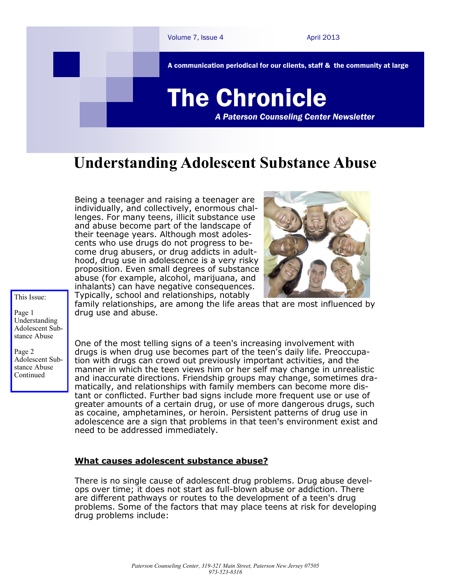

## **Understanding Adolescent Substance Abuse**

Being a teenager and raising a teenager are individually, and collectively, enormous challenges. For many teens, illicit substance use and abuse become part of the landscape of their teenage years. Although most adolescents who use drugs do not progress to become drug abusers, or drug addicts in adulthood, drug use in adolescence is a very risky proposition. Even small degrees of substance abuse (for example, alcohol, marijuana, and inhalants) can have negative consequences. Typically, school and relationships, notably



This Issue:

Page 1 Understanding Adolescent Substance Abuse

Page 2 Adolescent Substance Abuse Continued

family relationships, are among the life areas that are most influenced by drug use and abuse.

One of the most telling signs of a teen's increasing involvement with drugs is when drug use becomes part of the teen's daily life. Preoccupation with drugs can crowd out previously important activities, and the manner in which the teen views him or her self may change in unrealistic and inaccurate directions. Friendship groups may change, sometimes dramatically, and relationships with family members can become more distant or conflicted. Further bad signs include more frequent use or use of greater amounts of a certain drug, or use of more dangerous drugs, such as cocaine, amphetamines, or heroin. Persistent patterns of drug use in adolescence are a sign that problems in that teen's environment exist and need to be addressed immediately.

## **What causes adolescent substance abuse?**

There is no single cause of [adolescent drug problems.](http://www.teen-drug-abuse.org/) Drug abuse develops over time; it does not start as full-blown abuse or addiction. There are different pathways or routes to the development of a teen's drug problems. Some of the factors that may place teens at risk for developing drug problems include: